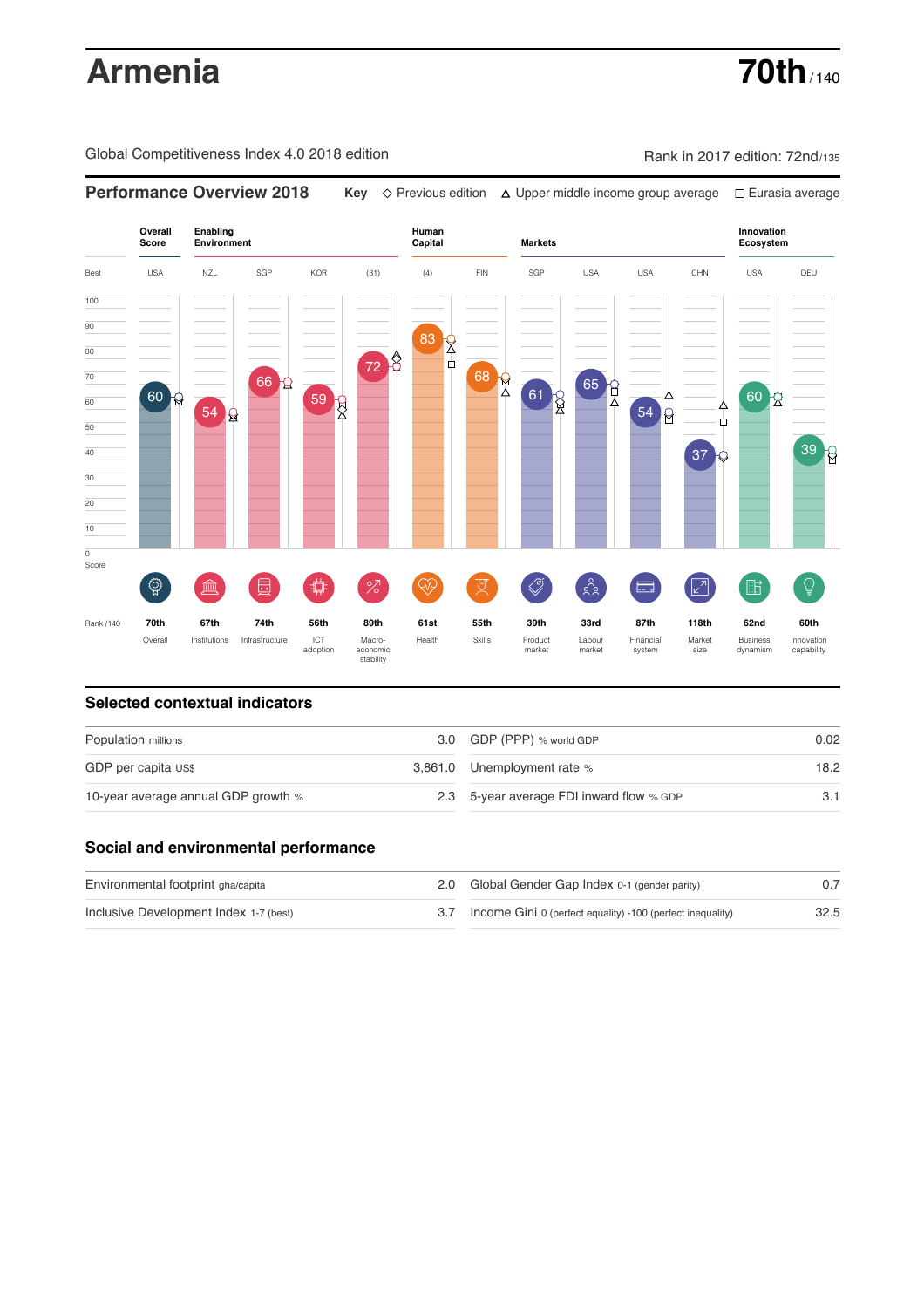# **Armenia 70th** / 140

Global Competitiveness Index 4.0 2018 edition Rank in 2017 edition: 72nd/135

**Performance Overview 2018 Key** Previous edition Upper middle income group average Eurasia average



### **Selected contextual indicators**

| Population millions                 |  | 3.0 GDP (PPP) % world GDP                | 0.02 |  |
|-------------------------------------|--|------------------------------------------|------|--|
| GDP per capita US\$                 |  | 3,861.0 Unemployment rate %              | 18.2 |  |
| 10-year average annual GDP growth % |  | 2.3 5-year average FDI inward flow % GDP |      |  |

# **Social and environmental performance**

| Environmental footprint gha/capita     | 2.0 Global Gender Gap Index 0-1 (gender parity)                |      |
|----------------------------------------|----------------------------------------------------------------|------|
| Inclusive Development Index 1-7 (best) | 3.7 Income Gini 0 (perfect equality) -100 (perfect inequality) | 32.5 |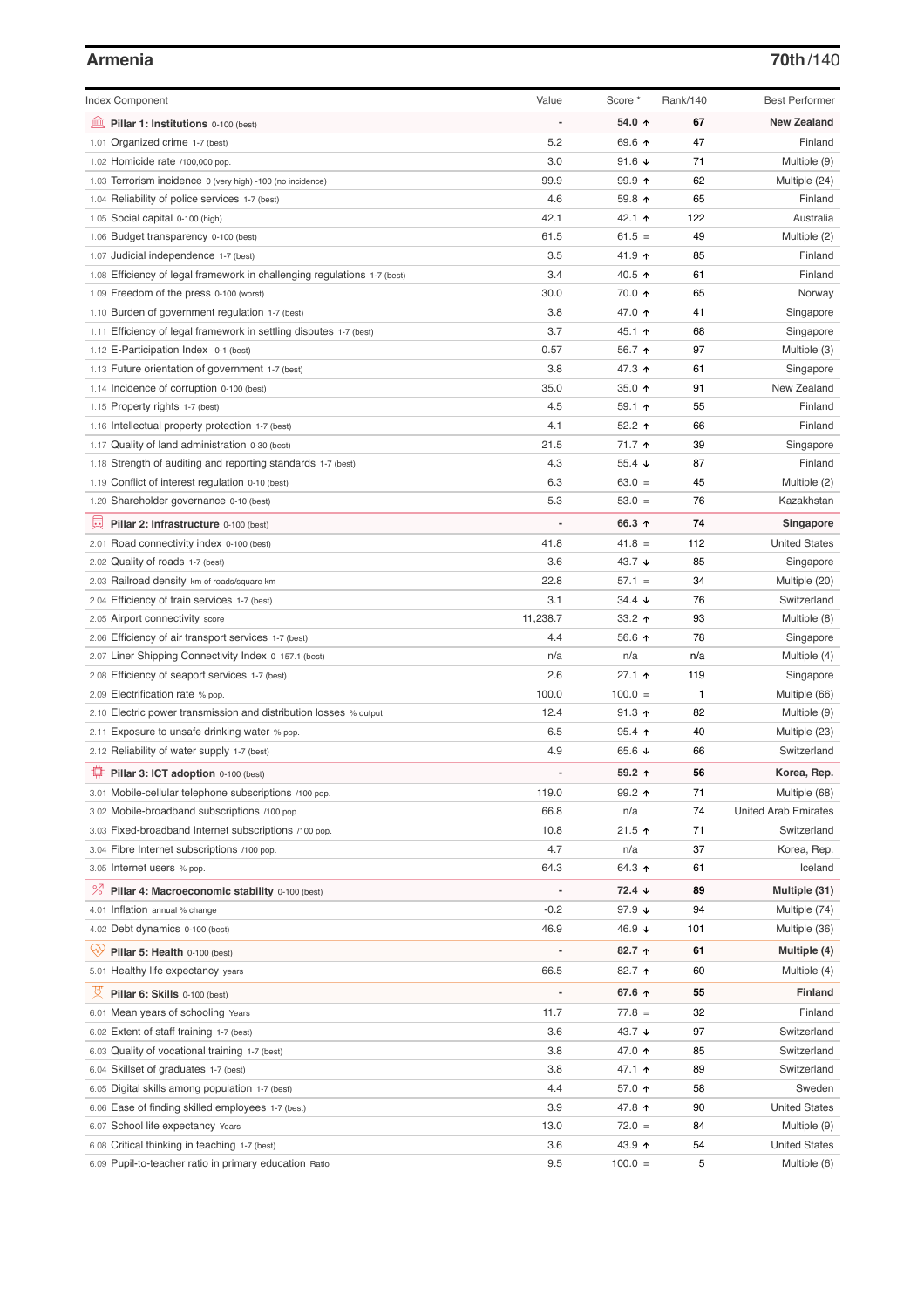# **Armenia 70th**/140

| <b>Index Component</b>                                                   | Value    | Score *              | Rank/140 | <b>Best Performer</b>       |
|--------------------------------------------------------------------------|----------|----------------------|----------|-----------------------------|
| 無<br>Pillar 1: Institutions 0-100 (best)                                 |          | 54.0 ↑               | 67       | <b>New Zealand</b>          |
| 1.01 Organized crime 1-7 (best)                                          | 5.2      | 69.6 ↑               | 47       | Finland                     |
| 1.02 Homicide rate /100,000 pop.                                         | 3.0      | 91.6 $\sqrt{ }$      | 71       |                             |
|                                                                          | 99.9     | $99.9$ 1             | 62       | Multiple (9)                |
| 1.03 Terrorism incidence 0 (very high) -100 (no incidence)               | 4.6      | 59.8 ↑               | 65       | Multiple (24)<br>Finland    |
| 1.04 Reliability of police services 1-7 (best)                           |          |                      |          |                             |
| 1.05 Social capital 0-100 (high)                                         | 42.1     | 42.1 ↑               | 122      | Australia                   |
| 1.06 Budget transparency 0-100 (best)                                    | 61.5     | $61.5 =$             | 49       | Multiple (2)                |
| 1.07 Judicial independence 1-7 (best)                                    | 3.5      | 41.9 ↑               | 85       | Finland                     |
| 1.08 Efficiency of legal framework in challenging regulations 1-7 (best) | 3.4      | 40.5 ↑               | 61       | Finland                     |
| 1.09 Freedom of the press 0-100 (worst)                                  | 30.0     | 70.0 ↑               | 65       | Norway                      |
| 1.10 Burden of government regulation 1-7 (best)                          | 3.8      | 47.0 ↑               | 41       | Singapore                   |
| 1.11 Efficiency of legal framework in settling disputes 1-7 (best)       | 3.7      | 45.1 $\uparrow$      | 68       | Singapore                   |
| 1.12 E-Participation Index 0-1 (best)                                    | 0.57     | 56.7 ↑               | 97       | Multiple (3)                |
| 1.13 Future orientation of government 1-7 (best)                         | 3.8      | 47.3 ↑               | 61       | Singapore                   |
| 1.14 Incidence of corruption 0-100 (best)                                | 35.0     | 35.0 $\uparrow$      | 91       | New Zealand                 |
| 1.15 Property rights 1-7 (best)                                          | 4.5      | 59.1 $\uparrow$      | 55       | Finland                     |
| 1.16 Intellectual property protection 1-7 (best)                         | 4.1      | 52.2 $\uparrow$      | 66       | Finland                     |
| 1.17 Quality of land administration 0-30 (best)                          | 21.5     | 71.7 ↑               | 39       | Singapore                   |
| 1.18 Strength of auditing and reporting standards 1-7 (best)             | 4.3      | 55.4 $\sqrt{ }$      | 87       | Finland                     |
| 1.19 Conflict of interest regulation 0-10 (best)                         | 6.3      | $63.0 =$             | 45       | Multiple (2)                |
| 1.20 Shareholder governance 0-10 (best)                                  | 5.3      | $53.0 =$             | 76       | Kazakhstan                  |
| 圓<br>Pillar 2: Infrastructure 0-100 (best)                               |          | 66.3 ↑               | 74       | Singapore                   |
| 2.01 Road connectivity index 0-100 (best)                                | 41.8     | $41.8 =$             | 112      | <b>United States</b>        |
| 2.02 Quality of roads 1-7 (best)                                         | 3.6      | 43.7 $\downarrow$    | 85       | Singapore                   |
| 2.03 Railroad density km of roads/square km                              | 22.8     | $57.1 =$             | 34       | Multiple (20)               |
| 2.04 Efficiency of train services 1-7 (best)                             | 3.1      | $34.4 \; \downarrow$ | 76       | Switzerland                 |
| 2.05 Airport connectivity score                                          | 11,238.7 | 33.2 $\uparrow$      | 93       | Multiple (8)                |
| 2.06 Efficiency of air transport services 1-7 (best)                     | 4.4      | 56.6 ↑               | 78       | Singapore                   |
| 2.07 Liner Shipping Connectivity Index 0-157.1 (best)                    | n/a      | n/a                  | n/a      | Multiple (4)                |
| 2.08 Efficiency of seaport services 1-7 (best)                           | 2.6      | $27.1$ 1             | 119      | Singapore                   |
| 2.09 Electrification rate % pop.                                         | 100.0    | $100.0 =$            | 1        | Multiple (66)               |
| 2.10 Electric power transmission and distribution losses % output        | 12.4     | $91.3$ ↑             | 82       | Multiple (9)                |
| 2.11 Exposure to unsafe drinking water % pop.                            | 6.5      | 95.4 $\uparrow$      | 40       | Multiple (23)               |
| 2.12 Reliability of water supply 1-7 (best)                              | 4.9      | 65.6 $\sqrt{ }$      | 66       | Switzerland                 |
| ₽<br>Pillar 3: ICT adoption 0-100 (best)                                 |          | 59.2 $\uparrow$      | 56       | Korea, Rep.                 |
| 3.01 Mobile-cellular telephone subscriptions /100 pop.                   | 119.0    | $99.2$ 1             | 71       | Multiple (68)               |
| 3.02 Mobile-broadband subscriptions /100 pop.                            | 66.8     | n/a                  | 74       | <b>United Arab Emirates</b> |
| 3.03 Fixed-broadband Internet subscriptions /100 pop.                    | 10.8     | $21.5$ 1             | 71       | Switzerland                 |
| 3.04 Fibre Internet subscriptions /100 pop.                              | 4.7      | n/a                  | 37       | Korea, Rep.                 |
| 3.05 Internet users % pop.                                               | 64.3     | 64.3 ↑               | 61       | Iceland                     |
|                                                                          |          |                      |          |                             |
| <sup>%</sup> Pillar 4: Macroeconomic stability 0-100 (best)              |          | $72.4 \; \downarrow$ | 89       | Multiple (31)               |
| 4.01 Inflation annual % change                                           | $-0.2$   | 97.9 $\sqrt{ }$      | 94       | Multiple (74)               |
| 4.02 Debt dynamics 0-100 (best)                                          | 46.9     | 46.9 ↓               | 101      | Multiple (36)               |
| Qv<br>Pillar 5: Health 0-100 (best)                                      |          | $82.7$ ↑             | 61       | Multiple (4)                |
| 5.01 Healthy life expectancy years                                       | 66.5     | 82.7 1               | 60       | Multiple (4)                |
| 섯<br>Pillar 6: Skills 0-100 (best)                                       |          | 67.6 $\uparrow$      | 55       | <b>Finland</b>              |
| 6.01 Mean years of schooling Years                                       | 11.7     | $77.8 =$             | 32       | Finland                     |
| 6.02 Extent of staff training 1-7 (best)                                 | 3.6      | 43.7 ↓               | 97       | Switzerland                 |
| 6.03 Quality of vocational training 1-7 (best)                           | 3.8      | 47.0 ↑               | 85       | Switzerland                 |
| Skillset of graduates 1-7 (best)<br>6.04                                 | 3.8      | 47.1 ↑               | 89       | Switzerland                 |
| 6.05 Digital skills among population 1-7 (best)                          | 4.4      | 57.0 ↑               | 58       | Sweden                      |
| Ease of finding skilled employees 1-7 (best)<br>6.06                     | 3.9      | 47.8 ↑               | 90       | <b>United States</b>        |
| 6.07 School life expectancy Years                                        | 13.0     | $72.0 =$             | 84       | Multiple (9)                |
| 6.08 Critical thinking in teaching 1-7 (best)                            | 3.6      | 43.9 ↑               | 54       | <b>United States</b>        |
| 6.09 Pupil-to-teacher ratio in primary education Ratio                   | 9.5      | $100.0 =$            | 5        | Multiple (6)                |